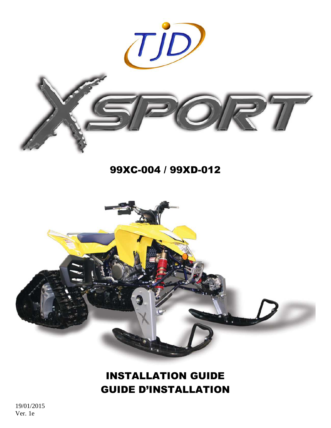

# 99XC-004 / 99XD-012



# INSTALLATION GUIDE GUIDE D'INSTALLATION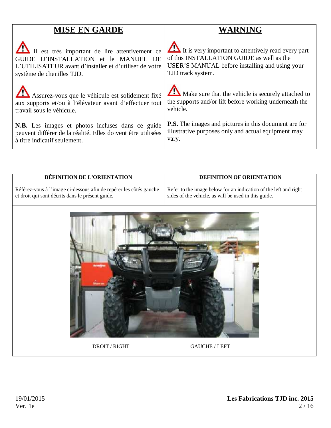# **MISE EN GARDE**

 Il est très important de lire attentivement ce GUIDE D'INSTALLATION et le MANUEL DE L'UTILISATEUR avant d'installer et d'utiliser de votre système de chenilles TJD.

 Assurez-vous que le véhicule est solidement fixé aux supports et/ou à l'élévateur avant d'effectuer tout travail sous le véhicule.

**N.B.** Les images et photos incluses dans ce guide peuvent différer de la réalité. Elles doivent être utilisées à titre indicatif seulement.

# **WARNING**

It is very important to attentively read every part of this INSTALLATION GUIDE as well as the USER'S MANUAL before installing and using your TJD track system.

 $\sqrt{2}$ Make sure that the vehicle is securely attached to the supports and/or lift before working underneath the vehicle.

**P.S.** The images and pictures in this document are for illustrative purposes only and actual equipment may vary.

# **DÉFINITION DE L'ORIENTATION**

# **DEFINITION OF ORIENTATION**

Référez-vous à l'image ci-dessous afin de repérer les côtés gauche et droit qui sont décrits dans le présent guide.

Refer to the image below for an indication of the left and right sides of the vehicle, as will be used in this guide.



DROIT / RIGHT GAUCHE / LEFT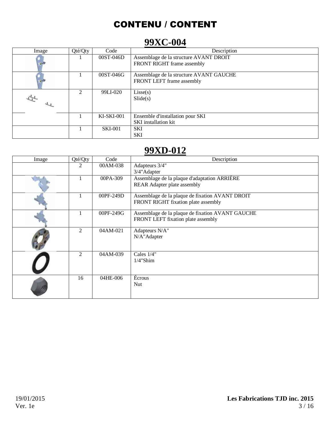# CONTENU / CONTENT

# **99XC-004**

| Image | Qté/Qty        | Code              | Description                             |
|-------|----------------|-------------------|-----------------------------------------|
|       |                | 00ST-046D         | Assemblage de la structure AVANT DROIT  |
|       |                |                   | FRONT RIGHT frame assembly              |
|       |                | 00ST-046G         | Assemblage de la structure AVANT GAUCHE |
|       |                |                   | FRONT LEFT frame assembly               |
|       | $\mathfrak{D}$ | 99LI-020          | Lisse(s)                                |
|       |                |                   | $\text{Slice}(s)$                       |
|       |                |                   |                                         |
|       |                | <b>KI-SKI-001</b> | Ensemble d'installation pour SKI        |
|       |                |                   | <b>SKI</b> installation kit             |
|       |                | <b>SKI-001</b>    | <b>SKI</b>                              |
|       |                |                   | <b>SKI</b>                              |

# **99XD-012**

| Image | Qté/Qty        | Code      | Description                                      |  |
|-------|----------------|-----------|--------------------------------------------------|--|
|       | $\overline{2}$ | 00AM-038  | Adapteurs 3/4"                                   |  |
|       |                |           | 3/4"Adapter                                      |  |
|       |                | 00PA-309  | Assemblage de la plaque d'adaptation ARRIÈRE     |  |
|       |                |           | REAR Adapter plate assembly                      |  |
|       |                | 00PF-249D | Assemblage de la plaque de fixation AVANT DROIT  |  |
|       |                |           | FRONT RIGHT fixation plate assembly              |  |
|       |                | 00PF-249G | Assemblage de la plaque de fixation AVANT GAUCHE |  |
|       |                |           | FRONT LEFT fixation plate assembly               |  |
|       | 2              | 04AM-021  | Adapteurs N/A"                                   |  |
|       |                |           | N/A"Adapter                                      |  |
|       | 2              | 04AM-039  | Cales 1/4"                                       |  |
|       |                |           | $1/4$ "Shim                                      |  |
|       | 16             | 04HE-006  | Écrous                                           |  |
|       |                |           | Nut                                              |  |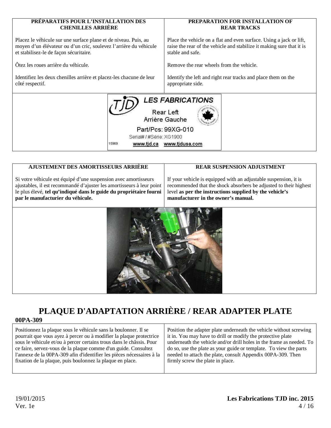#### **PRÉPARATIFS POUR L'INSTALLATION DES PREPARATION FOR INSTALLATION OF CHENILLES ARRIÈRE REAR TRACKS**  Placez le véhicule sur une surface plane et de niveau. Puis, au Place the vehicle on a flat and even surface. Using a jack or lift, moyen d'un élévateur ou d'un cric, soulevez l'arrière du véhicule raise the rear of the vehicle and stabilize it making sure that it is et stabilisez-le de façon sécuritaire. stable and safe. Ôtez les roues arrière du véhicule. Remove the rear wheels from the vehicle. Identifiez les deux chenilles arrière et placez-les chacune de leur Identify the left and right rear tracks and place them on the côté respectif. appropriate side. **LES FABRICATIONS** Rear Left Arrière Gauche Part/Pcs: 99XG-010 Serial# / #Série: XG1900

www.tjd.ca www.tjdusa.com

# **AJUSTEMENT DES AMORTISSEURS ARRIÈRE**

15969

Si votre véhicule est équipé d'une suspension avec amortisseurs ajustables, il est recommandé d'ajuster les amortisseurs à leur point le plus élevé, **tel qu'indiqué dans le guide du propriétaire fourni par le manufacturier du véhicule.**

# **REAR SUSPENSION ADJUSTMENT**

If your vehicle is equipped with an adjustable suspension, it is recommended that the shock absorbers be adjusted to their highest level **as per the instructions supplied by the vehicle's manufacturer in the owner's manual.**



# **PLAQUE D'ADAPTATION ARRIÈRE / REAR ADAPTER PLATE**

# **00PA-309**

Positionnez la plaque sous le véhicule sans la boulonner. Il se pourrait que vous ayez à percer ou à modifier la plaque protectrice sous le véhicule et/ou à percer certains trous dans le châssis. Pour ce faire, servez-vous de la plaque comme d'un guide. Consultez l'annexe de la 00PA-309 afin d'identifier les pièces nécessaires à la fixation de la plaque, puis boulonnez la plaque en place.

Position the adapter plate underneath the vehicle without screwing it in. You may have to drill or modify the protective plate underneath the vehicle and/or drill holes in the frame as needed. To do so, use the plate as your guide or template. To view the parts needed to attach the plate, consult Appendix 00PA-309. Then firmly screw the plate in place.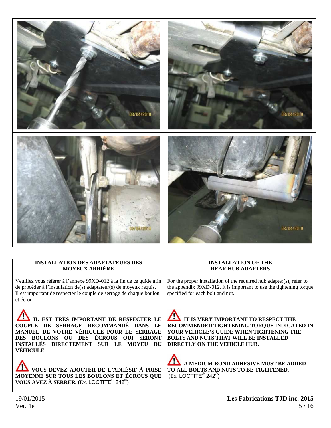

## **INSTALLATION DES ADAPTATEURS DES MOYEUX ARRIÈRE**

Veuillez vous référer à l'annexe 99XD-012 à la fin de ce guide afin de procéder à l'installation de(s) adaptateur(s) de moyeux requis. Il est important de respecter le couple de serrage de chaque boulon et écrou.

 **IL EST TRÈS IMPORTANT DE RESPECTER LE COUPLE DE SERRAGE RECOMMANDÉ DANS LE MANUEL DE VOTRE VÉHICULE POUR LE SERRAGE DES BOULONS OU DES ÉCROUS QUI SERONT INSTALLÉS DIRECTEMENT SUR LE MOYEU DU VÉHICULE.**

**VOUS DEVEZ AJOUTER DE L'ADHÉSIF À PRISE MOYENNE SUR TOUS LES BOULONS ET ÉCROUS QUE VOUS AVEZ À SERRER.** (Ex. LOCTITE® 242® )

## **INSTALLATION OF THE REAR HUB ADAPTERS**

For the proper installation of the required hub adapter(s), refer to the appendix 99XD-012. It is important to use the tightening torque specified for each bolt and nut.

 **IT IS VERY IMPORTANT TO RESPECT THE RECOMMENDED TIGHTENING TORQUE INDICATED IN YOUR VEHICLE'S GUIDE WHEN TIGHTENING THE BOLTS AND NUTS THAT WILL BE INSTALLED DIRECTLY ON THE VEHICLE HUB.** 

 **A MEDIUM-BOND ADHESIVE MUST BE ADDED TO ALL BOLTS AND NUTS TO BE TIGHTENED.**   $(Ex.$  LOCTITE<sup>®</sup> 242<sup>®</sup>)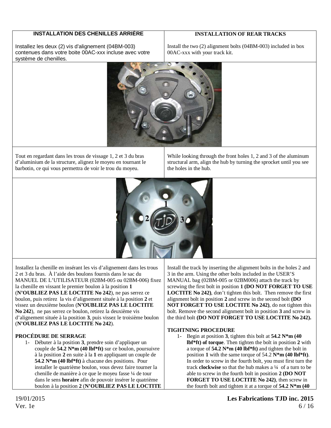# **INSTALLATION DES CHENILLES ARRIÈRE**

# **INSTALLATION OF REAR TRACKS**

Installez les deux (2) vis d'alignement (04BM-003) contenues dans votre boite 00AC-xxx incluse avec votre système de chenilles.

Install the two (2) alignment bolts (04BM-003) included in box 00AC-xxx with your track kit.



Tout en regardant dans les trous de vissage 1, 2 et 3 du bras d'aluminium de la structure, alignez le moyeu en tournant le barbotin, ce qui vous permettra de voir le trou du moyeu.

While looking through the front holes 1, 2 and 3 of the aluminum structural arm, align the hub by turning the sprocket until you see the holes in the hub.



Installez la chenille en insérant les vis d'alignement dans les trous 2 et 3 du bras. À l'aide des boulons fournis dans le sac du MANUEL DE L'UTILISATEUR (02BM-005 ou 02BM-006) fixez la chenille en vissant le premier boulon à la position **1** (**N'OUBLIEZ PAS LE LOCTITE No 242**), ne pas serrez ce boulon, puis retirez la vis d'alignement située à la position **2** et vissez un deuxième boulon (**N'OUBLIEZ PAS LE LOCTITE No 242**), ne pas serrez ce boulon, retirez la deuxième vis d'alignement située à la position **3**, puis vissez le troisième boulon (**N'OUBLIEZ PAS LE LOCTITE No 242**).

# **PROCÉDURE DE SERRAGE**

1- Débuter à la position **3**, prendre soin d'appliquer un couple de **54.2 N\*m (40 lbf\*ft)** sur ce boulon, poursuivre à la position **2** en suite à la **1** en appliquant un couple de **54.2 N\*m (40 lbf\*ft)** à chacune des positions. Pour installer le quatrième boulon, vous devez faire tourner la chenille de manière à ce que le moyeu fasse ¼ de tour dans le sens **horaire** afin de pouvoir insérer le quatrième boulon à la position **2** (**N'OUBLIEZ PAS LE LOCTITE**

Install the track by inserting the alignment bolts in the holes 2 and 3 in the arm. Using the other bolts included in the USER'S MANUAL bag (02BM-005 or 02BM006) attach the track by screwing the first bolt in position **1 (DO NOT FORGET TO USE LOCTITE No 242)**, don't tighten this bolt. Then remove the first alignment bolt in position **2** and screw in the second bolt **(DO NOT FORGET TO USE LOCTITE No 242)**, do not tighten this bolt. Remove the second alignment bolt in position **3** and screw in the third bolt **(DO NOT FORGET TO USE LOCTITE No 242).** 

## **TIGHTNING PROCEDURE**

1- Begin at position **3**, tighten this bolt at **54.2 N\*m (40 lbf\*ft) of torque**. Then tighten the bolt in position **2** with a torque of **54.2 N\*m (40 lbf\*ft)** and tighten the bolt in position **1** with the same torque of 54.2 **N\*m (40 lbf\*ft)**. In order to screw in the fourth bolt, you must first turn the track **clockwise** so that the hub makes a ¼ of a turn to be able to screw in the fourth bolt in position **2 (DO NOT FORGET TO USE LOCTITE No 242)**, then screw in the fourth bolt and tighten it at a torque of **54.2 N\*m (40**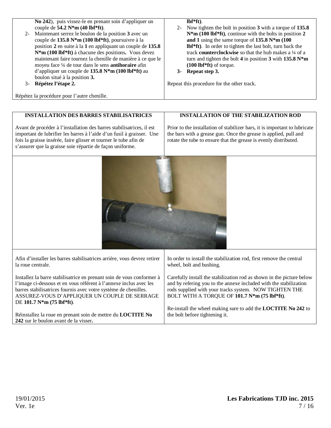| $2 -$ | No 242), puis vissez-le en prenant soin d'appliquer un<br>couple de $54.2$ N*m (40 lbf*ft).<br>Maintenant serrez le boulon de la position 3 avec un<br>couple de 135.8 N <sup>*</sup> m (100 lbf <sup>*</sup> ft), poursuivre à la<br>position 2 en suite à la 1 en appliquant un couple de 135.8   |    | $Ibf*{ft}$ ).<br>2- Now tighten the bolt in position 3 with a torque of 135.8<br>$N^*m$ (100 lbf <sup>*</sup> ft), continue with the bolts in position 2<br>and 1 using the same torque of $135.8 N*m$ (100<br>lbf*ft). In order to tighten the last bolt, turn back the |
|-------|-----------------------------------------------------------------------------------------------------------------------------------------------------------------------------------------------------------------------------------------------------------------------------------------------------|----|--------------------------------------------------------------------------------------------------------------------------------------------------------------------------------------------------------------------------------------------------------------------------|
| 3-    | $N*m$ (100 lbf*ft) à chacune des positions. Vous devez<br>maintenant faire tournez la chenille de manière à ce que le<br>moyeu face 1/4 de tour dans le sens <b>antihoraire</b> afin<br>d'appliquer un couple de 135.8 $N*m$ (100 lbf*ft) au<br>boulon situé à la position 3.<br>Répétez l'étape 2. | 3- | track counterclockwise so that the hub makes a 1/4 of a<br>turn and tighten the bolt 4 in position 3 with $135.8 N*$ m<br>$(100 \text{ lbf*ft})$ of torque.<br>Repeat step 3.<br>Repeat this procedure for the other track.                                              |
|       |                                                                                                                                                                                                                                                                                                     |    |                                                                                                                                                                                                                                                                          |

Répétez la procédure pour l'autre chenille.

## **INSTALLATION DES BARRES STABILISATRICES**

Avant de procéder à l'installation des barres stabilisatrices, il est important de lubrifier les barres à l'aide d'un fusil à graisser. Une fois la graisse insérée, faire glisser et tourner le tube afin de s'assurer que la graisse soie répartie de façon uniforme.

## **INSTALLATION OF THE STABILIZATION ROD**

Prior to the installation of stabilizer bars, it is important to lubricate the bars with a grease gun. Once the grease is applied, pull and rotate the tube to ensure that the grease is evenly distributed.

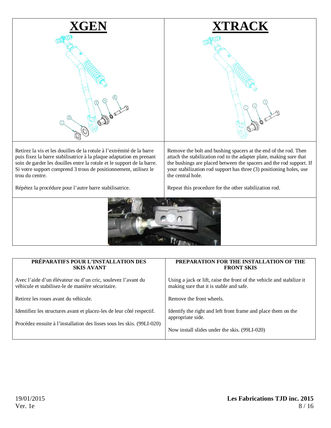

Retirez la vis et les douilles de la rotule à l'extrémité de la barre puis fixez la barre stabilisatrice à la plaque adaptation en prenant soin de garder les douilles entre la rotule et le support de la barre. Si votre support comprend 3 trous de positionnement, utilisez le trou du centre.

Remove the bolt and bushing spacers at the end of the rod. Then attach the stabilization rod to the adapter plate, making sure that the bushings are placed between the spacers and the rod support. If your stabilization rod support has three (3) positioning holes, use the central hole.

Répétez la procédure pour l'autre barre stabilisatrice.

Repeat this procedure for the other stabilization rod.



| PRÉPARATIFS POUR L'INSTALLATION DES                                    | PREPARATION FOR THE INSTALLATION OF THE                               |  |
|------------------------------------------------------------------------|-----------------------------------------------------------------------|--|
| <b>SKIS AVANT</b>                                                      | <b>FRONT SKIS</b>                                                     |  |
| Avec l'aide d'un élévateur ou d'un cric, soulevez l'avant du           | Using a jack or lift, raise the front of the vehicle and stabilize it |  |
| véhicule et stabilisez-le de manière sécuritaire.                      | making sure that it is stable and safe.                               |  |
| Retirez les roues avant du véhicule.                                   | Remove the front wheels.                                              |  |
| Identifiez les structures avant et placez-les de leur côté respectif.  | Identify the right and left front frame and place them on the         |  |
| Procédez ensuite à l'installation des lisses sous les skis. (99LI-020) | appropriate side.                                                     |  |
|                                                                        | Now install slides under the skis. (99LI-020)                         |  |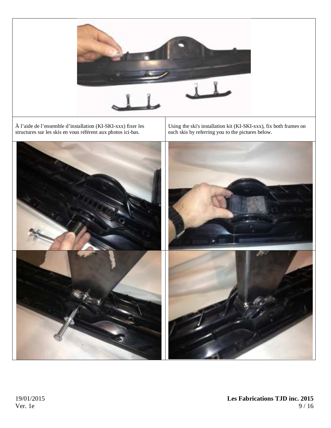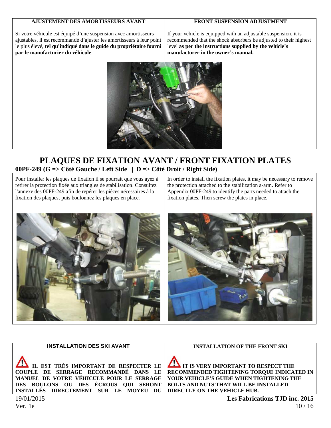## **AJUSTEMENT DES AMORTISSEURS AVANT**

## **FRONT SUSPENSION ADJUSTMENT**

Si votre véhicule est équipé d'une suspension avec amortisseurs ajustables, il est recommandé d'ajuster les amortisseurs à leur point le plus élevé, **tel qu'indiqué dans le guide du propriétaire fourni par le manufacturier du véhicule**.

If your vehicle is equipped with an adjustable suspension, it is recommended that the shock absorbers be adjusted to their highest level **as per the instructions supplied by the vehicle's manufacturer in the owner's manual.** 



# **PLAQUES DE FIXATION AVANT / FRONT FIXATION PLATES 00PF-249 (G => Côté Gauche / Left Side || D => Côté Droit / Right Side)**

Pour installer les plaques de fixation il se pourrait que vous ayez à retirer la protection fixée aux triangles de stabilisation. Consultez l'annexe des 00PF-249 afin de repérer les pièces nécessaires à la fixation des plaques, puis boulonnez les plaques en place.

In order to install the fixation plates, it may be necessary to remove the protection attached to the stabilization a-arm. Refer to Appendix 00PF-249 to identify the parts needed to attach the fixation plates. Then screw the plates in place.



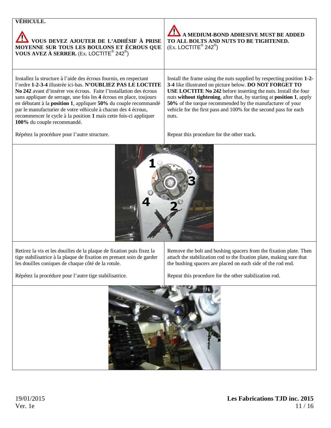| VÉHICULE.                                                                                                                                                                                                                                                                                                                                                                                                                                                                                                            |                                                                                                                                                                                                                                                                                                                                                                                                                       |  |  |
|----------------------------------------------------------------------------------------------------------------------------------------------------------------------------------------------------------------------------------------------------------------------------------------------------------------------------------------------------------------------------------------------------------------------------------------------------------------------------------------------------------------------|-----------------------------------------------------------------------------------------------------------------------------------------------------------------------------------------------------------------------------------------------------------------------------------------------------------------------------------------------------------------------------------------------------------------------|--|--|
| VOUS DEVEZ AJOUTER DE L'ADHÉSIF À PRISE<br>MOYENNE SUR TOUS LES BOULONS ET ÉCROUS QUE VOUS AVEZ À SERRER. (Ex. LOCTITE® 242®)                                                                                                                                                                                                                                                                                                                                                                                        | A MEDIUM-BOND ADHESIVE MUST BE ADDED<br>TO ALL BOLTS AND NUTS TO BE TIGHTENED.<br>$(Ex.$ LOCTITE <sup>®</sup> 242 <sup>®</sup> )                                                                                                                                                                                                                                                                                      |  |  |
| Installez la structure à l'aide des écrous fournis, en respectant<br>l'ordre 1-2-3-4 illustrée ici-bas. N'OUBLIEZ PAS LE LOCTITE<br>No 242 avant d'insérer vos écrous. Faite l'installation des écrous<br>sans appliquer de serrage, une fois les 4 écrous en place, toujours<br>en débutant à la position 1, appliquer 50% du couple recommandé<br>par le manufacturier de votre véhicule à chacun des 4 écrous,<br>recommencer le cycle à la position 1 mais cette fois-ci appliquer<br>100% du couple recommandé. | Install the frame using the nuts supplied by respecting position 1-2-<br>3-4 like illustrated on picture below. DO NOT FORGET TO<br>USE LOCTITE No 242 before inserting the nuts. Install the four<br>nuts without tightening, after that, by starting at position 1, apply<br>50% of the torque recommended by the manufacturer of your<br>vehicle for the first pass and 100% for the second pass for each<br>nuts. |  |  |
| Répétez la procédure pour l'autre structure.                                                                                                                                                                                                                                                                                                                                                                                                                                                                         | Repeat this procedure for the other track.                                                                                                                                                                                                                                                                                                                                                                            |  |  |
|                                                                                                                                                                                                                                                                                                                                                                                                                                                                                                                      |                                                                                                                                                                                                                                                                                                                                                                                                                       |  |  |
| Retirez la vis et les douilles de la plaque de fixation puis fixez la<br>tige stabilisatrice à la plaque de fixation en prenant soin de garder<br>les douilles coniques de chaque côté de la rotule.                                                                                                                                                                                                                                                                                                                 | Remove the bolt and bushing spacers from the fixation plate. Then<br>attach the stabilization rod to the fixation plate, making sure that<br>the bushing spacers are placed on each side of the rod end.                                                                                                                                                                                                              |  |  |
| Répétez la procédure pour l'autre tige stabilisatrice.                                                                                                                                                                                                                                                                                                                                                                                                                                                               | Repeat this procedure for the other stabilization rod.                                                                                                                                                                                                                                                                                                                                                                |  |  |
|                                                                                                                                                                                                                                                                                                                                                                                                                                                                                                                      |                                                                                                                                                                                                                                                                                                                                                                                                                       |  |  |

the contract of the contract of the contract of

 $\mathcal{N}$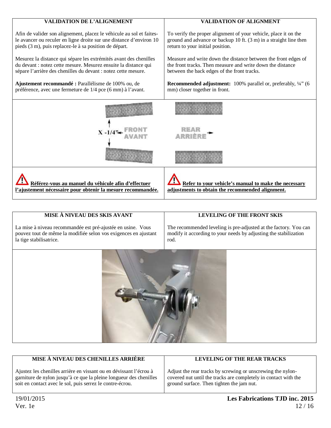| <b>VALIDATION DE L'ALIGNEMENT</b>                                    | <b>VALIDATION OF ALIGNMENT</b>                                    |
|----------------------------------------------------------------------|-------------------------------------------------------------------|
| Afin de valider son alignement, placez le véhicule au sol et faites- | To verify the proper alignment of your vehicle, place it on the   |
| le avancer ou reculer en ligne droite sur une distance d'environ 10  | ground and advance or backup 10 ft. (3 m) in a straight line then |
| pieds (3 m), puis replacez-le à sa position de départ.               | return to your initial position.                                  |
| Mesurez la distance qui sépare les extrémités avant des chenilles    | Measure and write down the distance between the front edges of    |
| du devant : notez cette mesure. Mesurez ensuite la distance qui      | the front tracks. Then measure and write down the distance        |
| sépare l'arrière des chenilles du devant : notez cette mesure.       | between the back edges of the front tracks.                       |
| Ajustement recommandé : Parallélisme de 100% ou, de                  | Recommended adjustment: 100% parallel or, preferably, 1/4" (6     |
| préférence, avec une fermeture de 1/4 pce (6 mm) à l'avant.          | mm) closer together in front.                                     |
|                                                                      |                                                                   |
| $X - 1/4$ <sup>2</sup>                                               |                                                                   |
|                                                                      |                                                                   |
| Référez-vous au manuel du véhicule afin d'effectuer                  | Refer to your vehicle's manual to make the necessary              |
| l'ajustement nécessaire pour obtenir la mesure recommandée.          | adjustments to obtain the recommended alignment.                  |

| MISE À NIVEAU DES SKIS AVANT                                                                                                                              | LEVELING OF THE FRONT SKIS                                                                                                                   |
|-----------------------------------------------------------------------------------------------------------------------------------------------------------|----------------------------------------------------------------------------------------------------------------------------------------------|
| La mise à niveau recommandée est pré-ajustée en usine. Vous<br>pouvez tout de même la modifiée selon vos exigences en ajustant<br>la tige stabilisatrice. | The recommended leveling is pre-adjusted at the factory. You can<br>modify it according to your needs by adjusting the stabilization<br>rod. |
|                                                                                                                                                           |                                                                                                                                              |



| MISE À NIVEAU DES CHENILLES ARRIÈRE                                | LEVELING OF THE REAR TRACKS                                     |
|--------------------------------------------------------------------|-----------------------------------------------------------------|
|                                                                    |                                                                 |
| Ajustez les chenilles arrière en vissant ou en dévissant l'écrou à | Adjust the rear tracks by screwing or unscrewing the nylon-     |
| garniture de nylon jusqu'à ce que la pleine longueur des chenilles | covered nut until the tracks are completely in contact with the |
| soit en contact avec le sol, puis serrez le contre-écrou.          | ground surface. Then tighten the jam nut.                       |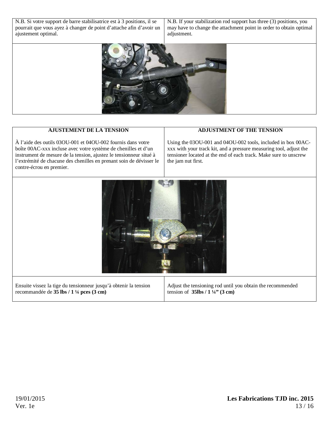N.B. Si votre support de barre stabilisatrice est à 3 positions, il se pourrait que vous ayez à changer de point d'attache afin d'avoir un ajustement optimal.

N.B. If your stabilization rod support has three (3) positions, you may have to change the attachment point in order to obtain optimal adjustment.



# **AJUSTEMENT DE LA TENSION**

À l'aide des outils 03OU-001 et 04OU-002 fournis dans votre boîte 00AC-xxx incluse avec votre système de chenilles et d'un instrument de mesure de la tension, ajustez le tensionneur situé à l'extrémité de chacune des chenilles en prenant soin de dévisser le contre-écrou en premier.

#### **ADJUSTMENT OF THE TENSION**

Using the 03OU-001 and 04OU-002 tools, included in box 00ACxxx with your track kit, and a pressure measuring tool, adjust the tensioner located at the end of each track. Make sure to unscrew the jam nut first.

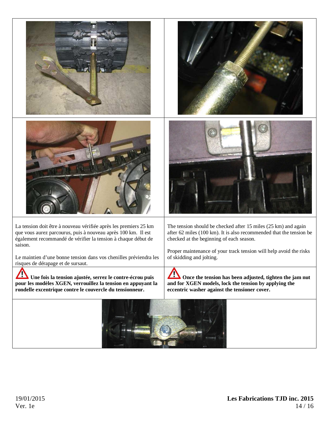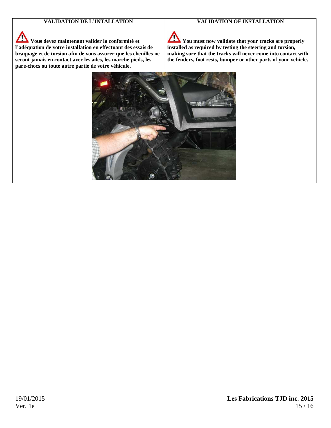# **VALIDATION DE L'INTALLATION**

#### **VALIDATION OF INSTALLATION**

 $\Delta$ **Vous devez maintenant valider la conformité et l'adéquation de votre installation en effectuant des essais de braquage et de torsion afin de vous assurer que les chenilles ne seront jamais en contact avec les ailes, les marche pieds, les pare-chocs ou toute autre partie de votre véhicule.**

 $\sqrt{}$ **You must now validate that your tracks are properly installed as required by testing the steering and torsion, making sure that the tracks will never come into contact with the fenders, foot rests, bumper or other parts of your vehicle.** 

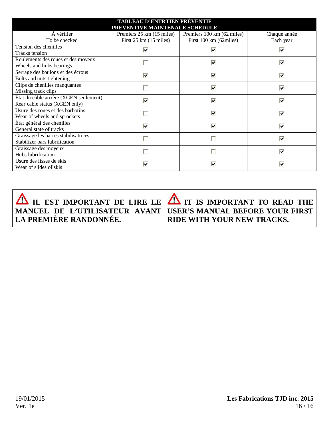| <b>TABLEAU D'ENTRTIEN PRÉVENTIF</b>    |                                  |                            |                         |  |  |
|----------------------------------------|----------------------------------|----------------------------|-------------------------|--|--|
| PREVENTIVE MAINTENACE SCHEDULE         |                                  |                            |                         |  |  |
| À vérifier                             | Premiers 25 km (15 miles)        | Premiers 100 km (62 miles) | Chaque année            |  |  |
| To be checked                          | First $25 \text{ km}$ (15 miles) | First 100 km (62miles)     | Each year               |  |  |
| Tension des chenilles                  | ⊽                                | ⊽                          | ⊽                       |  |  |
| Tracks tension                         |                                  |                            |                         |  |  |
| Roulements des roues et des moyeux     |                                  | ╔                          | ⋤                       |  |  |
| Wheels and hubs bearings               |                                  |                            |                         |  |  |
| Serrage des boulons et des écrous      | ⊽                                | ⊽                          | ⊽                       |  |  |
| Bolts and nuts tightening              |                                  |                            |                         |  |  |
| Clips de chenilles manquantes          |                                  | ☑                          | ⊽                       |  |  |
| Missing track clips                    | H                                |                            |                         |  |  |
| État du câble arrière (XGEN seulement) | ⊽                                | ⊽                          | ⊽                       |  |  |
| Rear cable status (XGEN only)          |                                  |                            |                         |  |  |
| Usure des roues et des barbotins       |                                  | ⊽                          | $\overline{\mathbf{v}}$ |  |  |
| Wear of wheels and sprockets           |                                  |                            |                         |  |  |
| État général des chenilles             | ⊽                                | ⊡                          | ⊽                       |  |  |
| General state of tracks                |                                  |                            |                         |  |  |
| Graissage les barres stabilisatrices   |                                  | П                          | ╔                       |  |  |
| Stabilizer bars lubrification          |                                  |                            |                         |  |  |
| Graissage des moyeux                   |                                  |                            | ⊽                       |  |  |
| Hubs lubrification                     |                                  |                            |                         |  |  |
| Usure des lisses de skis               | ⊽                                | ⊽                          | ⊽                       |  |  |
| Wear of slides of skis                 |                                  |                            |                         |  |  |

|                               | $\Delta$ il est important de lire le $\Delta$ it is important to read the                   |
|-------------------------------|---------------------------------------------------------------------------------------------|
| <b>LA PREMIÈRE RANDONNÉE.</b> | MANUEL DE L'UTILISATEUR AVANT USER'S MANUAL BEFORE YOUR FIRST<br>RIDE WITH YOUR NEW TRACKS. |